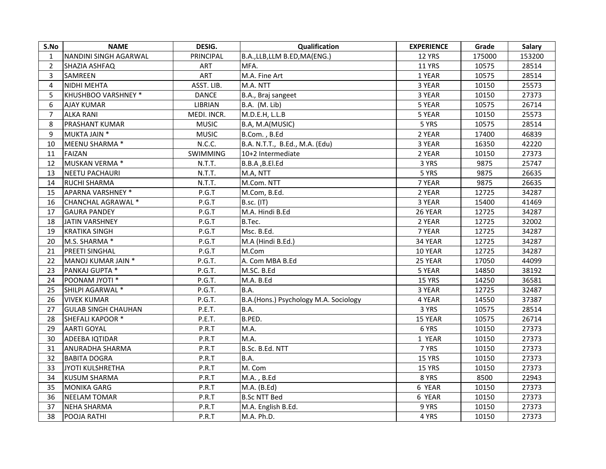| S.No           | <b>NAME</b>                  | DESIG.           | Qualification                         | <b>EXPERIENCE</b> | Grade  | <b>Salary</b> |
|----------------|------------------------------|------------------|---------------------------------------|-------------------|--------|---------------|
|                | <b>NANDINI SINGH AGARWAL</b> | <b>PRINCIPAL</b> | B.A.,LLB,LLM B.ED,MA(ENG.)            | <b>12 YRS</b>     | 175000 | 153200        |
| $\overline{2}$ | <b>SHAZIA ASHFAQ</b>         | <b>ART</b>       | MFA.                                  | <b>11 YRS</b>     | 10575  | 28514         |
| $\mathbf{3}$   | SAMREEN                      | ART              | M.A. Fine Art                         | 1 YEAR            | 10575  | 28514         |
| 4              | NIDHI MEHTA                  | ASST. LIB.       | M.A. NTT                              | 3 YEAR            | 10150  | 25573         |
| 5              | <b>KHUSHBOO VARSHNEY *</b>   | <b>DANCE</b>     | B.A., Braj sangeet                    | 3 YEAR            | 10150  | 27373         |
| 6              | <b>AJAY KUMAR</b>            | <b>LIBRIAN</b>   | B.A. (M. Lib)                         | 5 YEAR            | 10575  | 26714         |
|                | <b>ALKA RANI</b>             | MEDI. INCR.      | M.D.E.H, L.L.B                        | 5 YEAR            | 10150  | 25573         |
| 8              | <b>PRASHANT KUMAR</b>        | <b>MUSIC</b>     | B.A, M.A(MUSIC)                       | 5 YRS             | 10575  | 28514         |
| 9              | MUKTA JAIN *                 | <b>MUSIC</b>     | B.Com., B.Ed                          | 2 YEAR            | 17400  | 46839         |
| 10             | MEENU SHARMA *               | N.C.C.           | B.A. N.T.T., B.Ed., M.A. (Edu)        | 3 YEAR            | 16350  | 42220         |
| 11             | FAIZAN                       | <b>SWIMMING</b>  | 10+2 Intermediate                     | 2 YEAR            | 10150  | 27373         |
| 12             | MUSKAN VERMA *               | N.T.T.           | B.B.A ,B.El.Ed                        | 3 YRS             | 9875   | 25747         |
| 13             | NEETU PACHAURI               | N.T.T.           | M.A, NTT                              | 5 YRS             | 9875   | 26635         |
| 14             | <b>RUCHI SHARMA</b>          | N.T.T.           | M.Com. NTT                            | 7 YEAR            | 9875   | 26635         |
| 15             | APARNA VARSHNEY *            | P.G.T            | M.Com, B.Ed.                          | 2 YEAR            | 12725  | 34287         |
| 16             | CHANCHAL AGRAWAL *           | P.G.T            | $ $ B.sc. (IT)                        | 3 YEAR            | 15400  | 41469         |
| 17             | <b>GAURA PANDEY</b>          | P.G.T            | M.A. Hindi B.Ed                       | 26 YEAR           | 12725  | 34287         |
| 18             | JATIN VARSHNEY               | P.G.T            | B.Tec.                                | 2 YEAR            | 12725  | 32002         |
| 19             | <b>KRATIKA SINGH</b>         | P.G.T            | Msc. B.Ed.                            | 7 YEAR            | 12725  | 34287         |
| 20             | M.S. SHARMA *                | P.G.T            | M.A (Hindi B.Ed.)                     | 34 YEAR           | 12725  | 34287         |
| 21             | <b>PREETI SINGHAL</b>        | P.G.T            | M.Com                                 | <b>10 YEAR</b>    | 12725  | 34287         |
| 22             | MANOJ KUMAR JAIN *           | P.G.T.           | A. Com MBA B.Ed                       | 25 YEAR           | 17050  | 44099         |
| 23             | <b>PANKAJ GUPTA *</b>        | P.G.T.           | M.SC. B.Ed                            | 5 YEAR            | 14850  | 38192         |
| 24             | <b>POONAM JYOTI *</b>        | P.G.T.           | M.A. B.Ed                             | <b>15 YRS</b>     | 14250  | 36581         |
| 25             | SHILPI AGARWAL *             | P.G.T.           | B.A.                                  | 3 YEAR            | 12725  | 32487         |
| 26             | <b>VIVEK KUMAR</b>           | P.G.T.           | B.A.(Hons.) Psychology M.A. Sociology | 4 YEAR            | 14550  | 37387         |
| 27             | <b>GULAB SINGH CHAUHAN</b>   | P.E.T.           | B.A.                                  | 3 YRS             | 10575  | 28514         |
| 28             | <b>SHEFALI KAPOOR *</b>      | P.E.T.           | B.PED.                                | <b>15 YEAR</b>    | 10575  | 26714         |
| 29             | <b>AARTI GOYAL</b>           | P.R.T            | M.A.                                  | 6 YRS             | 10150  | 27373         |
| 30             | <b>ADEEBA IQTIDAR</b>        | P.R.T            | M.A.                                  | 1 YEAR            | 10150  | 27373         |
| 31             | <b>ANURADHA SHARMA</b>       | P.R.T            | B.Sc. B.Ed. NTT                       | 7 YRS             | 10150  | 27373         |
| 32             | <b>BABITA DOGRA</b>          | P.R.T            | B.A.                                  | <b>15 YRS</b>     | 10150  | 27373         |
| 33             | JYOTI KULSHRETHA             | P.R.T            | M. Com                                | <b>15 YRS</b>     | 10150  | 27373         |
| 34             | KUSUM SHARMA                 | P.R.T            | M.A., B.Ed                            | 8 YRS             | 8500   | 22943         |
| 35             | MONIKA GARG                  | P.R.T            | M.A. (B.Ed)                           | 6 YEAR            | 10150  | 27373         |
| 36             | NEELAM TOMAR                 | P.R.T            | <b>B.Sc NTT Bed</b>                   | 6 YEAR            | 10150  | 27373         |
| 37             | NEHA SHARMA                  | P.R.T            | M.A. English B.Ed.                    | 9 YRS             | 10150  | 27373         |
| 38             | <b>POOJA RATHI</b>           | P.R.T            | M.A. Ph.D.                            | 4 YRS             | 10150  | 27373         |